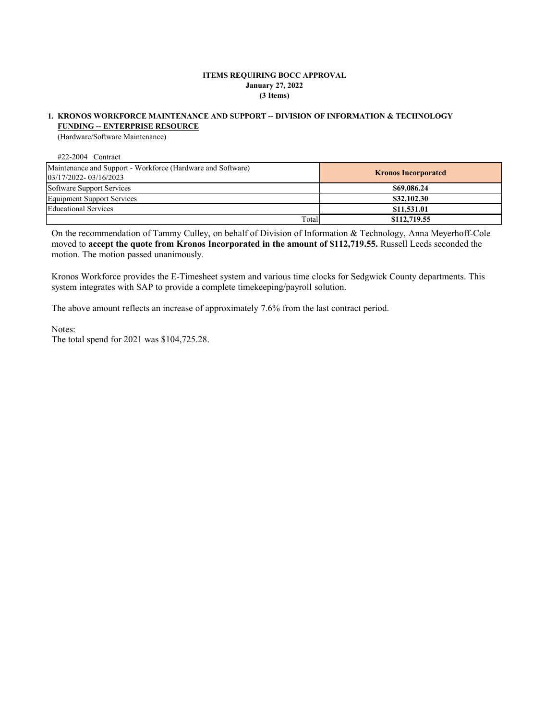# **ITEMS REQUIRING BOCC APPROVAL January 27, 2022 (3 Items)**

# **FUNDING -- ENTERPRISE RESOURCE 1. KRONOS WORKFORCE MAINTENANCE AND SUPPORT -- DIVISION OF INFORMATION & TECHNOLOGY**

(Hardware/Software Maintenance)

| $\#22-2004$ Contract                                                                 |                            |
|--------------------------------------------------------------------------------------|----------------------------|
| Maintenance and Support - Workforce (Hardware and Software)<br>03/17/2022-03/16/2023 | <b>Kronos Incorporated</b> |
| Software Support Services                                                            | \$69,086.24                |
| <b>Equipment Support Services</b>                                                    | \$32,102.30                |
| <b>Educational Services</b>                                                          | \$11,531.01                |
| Total                                                                                | \$112,719.55               |

On the recommendation of Tammy Culley, on behalf of Division of Information & Technology, Anna Meyerhoff-Cole moved to **accept the quote from Kronos Incorporated in the amount of \$112,719.55.** Russell Leeds seconded the motion. The motion passed unanimously.

Kronos Workforce provides the E-Timesheet system and various time clocks for Sedgwick County departments. This system integrates with SAP to provide a complete timekeeping/payroll solution.

The above amount reflects an increase of approximately 7.6% from the last contract period.

Notes: The total spend for 2021 was \$104,725.28.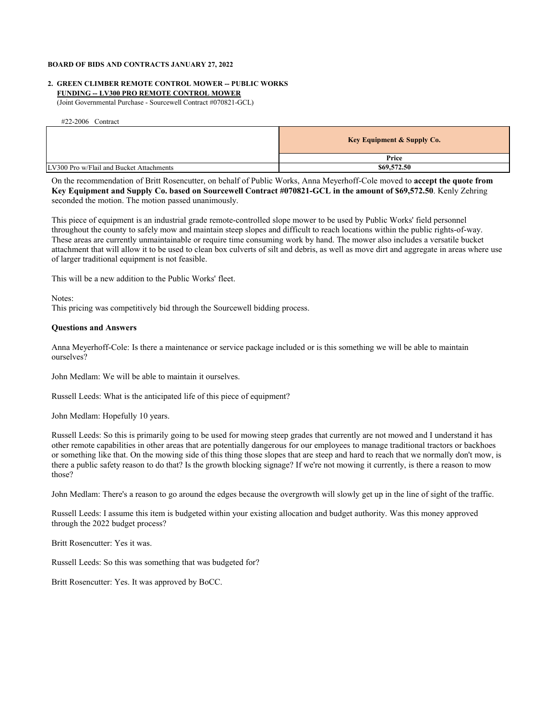#### **BOARD OF BIDS AND CONTRACTS JANUARY 27, 2022**

#### **2. GREEN CLIMBER REMOTE CONTROL MOWER -- PUBLIC WORKS FUNDING -- LV300 PRO REMOTE CONTROL MOWER**

(Joint Governmental Purchase - Sourcewell Contract #070821-GCL)

| $#22-2006$ Contract                      |                            |
|------------------------------------------|----------------------------|
|                                          | Key Equipment & Supply Co. |
|                                          | Price                      |
| LV300 Pro w/Flail and Bucket Attachments | \$69,572.50                |
|                                          |                            |

On the recommendation of Britt Rosencutter, on behalf of Public Works, Anna Meyerhoff-Cole moved to **accept the quote from Key Equipment and Supply Co. based on Sourcewell Contract #070821-GCL in the amount of \$69,572.50**. Kenly Zehring seconded the motion. The motion passed unanimously.

This piece of equipment is an industrial grade remote-controlled slope mower to be used by Public Works' field personnel throughout the county to safely mow and maintain steep slopes and difficult to reach locations within the public rights-of-way. These areas are currently unmaintainable or require time consuming work by hand. The mower also includes a versatile bucket attachment that will allow it to be used to clean box culverts of silt and debris, as well as move dirt and aggregate in areas where use of larger traditional equipment is not feasible.

This will be a new addition to the Public Works' fleet.

Notes:

This pricing was competitively bid through the Sourcewell bidding process.

### **Questions and Answers**

Anna Meyerhoff-Cole: Is there a maintenance or service package included or is this something we will be able to maintain ourselves?

John Medlam: We will be able to maintain it ourselves.

Russell Leeds: What is the anticipated life of this piece of equipment?

John Medlam: Hopefully 10 years.

Russell Leeds: So this is primarily going to be used for mowing steep grades that currently are not mowed and I understand it has other remote capabilities in other areas that are potentially dangerous for our employees to manage traditional tractors or backhoes or something like that. On the mowing side of this thing those slopes that are steep and hard to reach that we normally don't mow, is there a public safety reason to do that? Is the growth blocking signage? If we're not mowing it currently, is there a reason to mow those?

John Medlam: There's a reason to go around the edges because the overgrowth will slowly get up in the line of sight of the traffic.

Russell Leeds: I assume this item is budgeted within your existing allocation and budget authority. Was this money approved through the 2022 budget process?

Britt Rosencutter: Yes it was.

Russell Leeds: So this was something that was budgeted for?

Britt Rosencutter: Yes. It was approved by BoCC.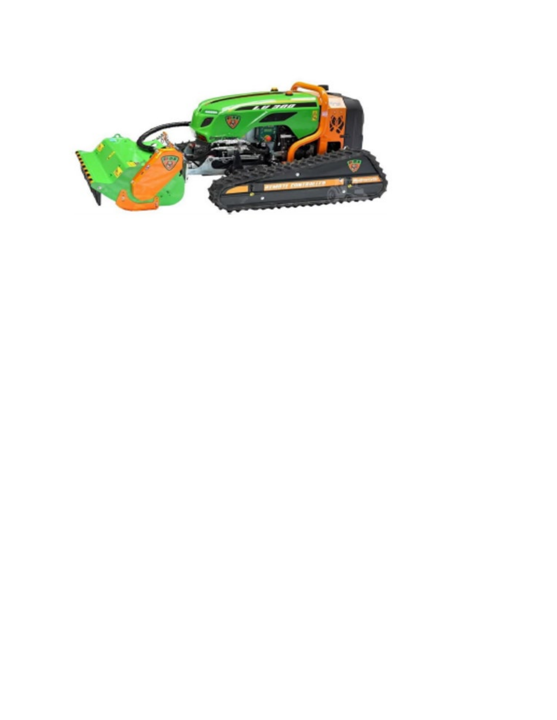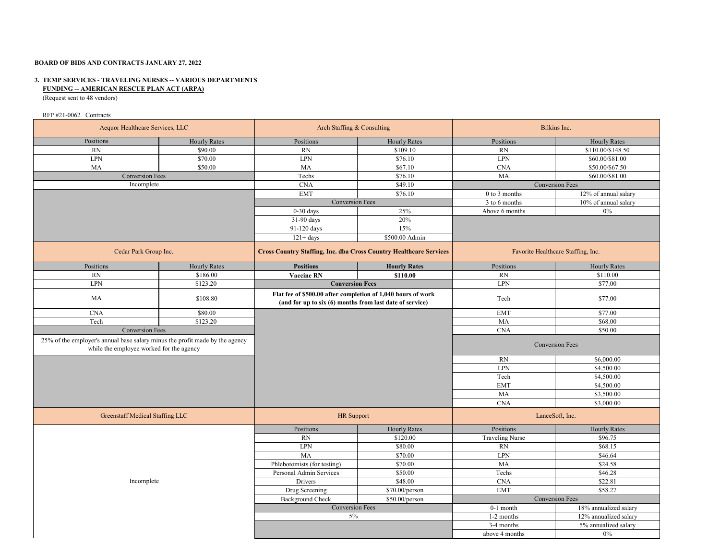#### **BOARD OF BIDS AND CONTRACTS JANUARY 27, 2022**

### **3. TEMP SERVICES - TRAVELING NURSES -- VARIOUS DEPARTMENTS FUNDING -- AMERICAN RESCUE PLAN ACT (ARPA)**

(Request sent to 48 vendors)

#### RFP #21-0062 Contracts

| Aequor Healthcare Services, LLC                                                                                          |                       | Arch Staffing & Consulting                                                                                               |                                                                           | Bilkins Inc.           |                                    |  |
|--------------------------------------------------------------------------------------------------------------------------|-----------------------|--------------------------------------------------------------------------------------------------------------------------|---------------------------------------------------------------------------|------------------------|------------------------------------|--|
| Positions                                                                                                                | <b>Hourly Rates</b>   | Positions                                                                                                                | <b>Hourly Rates</b>                                                       | Positions              | <b>Hourly Rates</b>                |  |
| RN                                                                                                                       | \$90.00               | RN                                                                                                                       | \$109.10                                                                  | RN                     | \$110.00/\$148.50                  |  |
| <b>LPN</b>                                                                                                               | \$70.00               | <b>LPN</b>                                                                                                               | \$76.10                                                                   | LPN                    | \$60.00/\$81.00                    |  |
| MA                                                                                                                       | \$50.00               | MA                                                                                                                       | \$67.10                                                                   | <b>CNA</b>             | \$50.00/\$67.50                    |  |
| <b>Conversion Fees</b>                                                                                                   |                       | Techs                                                                                                                    | \$76.10                                                                   | \$60.00/\$81.00<br>MA  |                                    |  |
| Incomplete                                                                                                               |                       | <b>CNA</b>                                                                                                               | \$49.10                                                                   | <b>Conversion Fees</b> |                                    |  |
|                                                                                                                          |                       | <b>EMT</b>                                                                                                               | \$76.10                                                                   | 0 to 3 months          | 12% of annual salary               |  |
|                                                                                                                          |                       | <b>Conversion Fees</b>                                                                                                   |                                                                           | 3 to 6 months          | 10% of annual salary               |  |
|                                                                                                                          |                       | $0-30$ days                                                                                                              | 25%                                                                       | Above 6 months         | 0%                                 |  |
|                                                                                                                          |                       | 31-90 days                                                                                                               | 20%                                                                       |                        |                                    |  |
|                                                                                                                          |                       | 91-120 days                                                                                                              | 15%                                                                       |                        |                                    |  |
|                                                                                                                          |                       | $121 + days$                                                                                                             | $$500.00$ Admin                                                           |                        |                                    |  |
|                                                                                                                          | Cedar Park Group Inc. |                                                                                                                          | <b>Cross Country Staffing, Inc. dba Cross Country Healthcare Services</b> |                        | Favorite Healthcare Staffing, Inc. |  |
| Positions                                                                                                                | <b>Hourly Rates</b>   | <b>Positions</b>                                                                                                         | <b>Hourly Rates</b>                                                       | Positions              | <b>Hourly Rates</b>                |  |
| RN                                                                                                                       | \$186.00              | <b>Vaccine RN</b>                                                                                                        | \$110.00                                                                  | RN                     | \$110.00                           |  |
| <b>LPN</b>                                                                                                               | \$123.20              | <b>Conversion Fees</b>                                                                                                   |                                                                           | LPN                    | \$77.00                            |  |
| MA                                                                                                                       | \$108.80              | Flat fee of \$500.00 after completion of 1,040 hours of work<br>(and for up to six (6) months from last date of service) |                                                                           | Tech                   | \$77.00                            |  |
| <b>CNA</b>                                                                                                               | \$80.00               |                                                                                                                          |                                                                           | <b>EMT</b>             | \$77.00                            |  |
| Tech                                                                                                                     | \$123.20              |                                                                                                                          |                                                                           | MA                     | \$68.00                            |  |
| <b>Conversion Fees</b>                                                                                                   |                       |                                                                                                                          |                                                                           | <b>CNA</b>             | \$50.00                            |  |
| 25% of the employer's annual base salary minus the profit made by the agency<br>while the employee worked for the agency |                       |                                                                                                                          |                                                                           | <b>Conversion Fees</b> |                                    |  |
|                                                                                                                          |                       |                                                                                                                          |                                                                           | RN                     | \$6,000.00                         |  |
|                                                                                                                          |                       |                                                                                                                          |                                                                           | LPN                    | \$4,500.00                         |  |
|                                                                                                                          |                       |                                                                                                                          |                                                                           | Tech                   | \$4,500.00                         |  |
|                                                                                                                          |                       |                                                                                                                          |                                                                           | <b>EMT</b>             | \$4,500.00                         |  |
|                                                                                                                          |                       |                                                                                                                          |                                                                           | MA                     | \$3,500.00                         |  |
|                                                                                                                          |                       |                                                                                                                          |                                                                           | <b>CNA</b>             | \$3,000.00                         |  |
| Greenstaff Medical Staffing LLC                                                                                          |                       | <b>HR</b> Support                                                                                                        |                                                                           | LanceSoft, Inc.        |                                    |  |
|                                                                                                                          |                       | Positions                                                                                                                | <b>Hourly Rates</b>                                                       | Positions              | <b>Hourly Rates</b>                |  |
|                                                                                                                          |                       | RN                                                                                                                       | \$120.00                                                                  | <b>Traveling Nurse</b> | \$96.75                            |  |
|                                                                                                                          |                       | LPN                                                                                                                      | \$80.00                                                                   | RN                     | \$68.15                            |  |
|                                                                                                                          |                       | MA                                                                                                                       | \$70.00                                                                   | <b>LPN</b>             | \$46.64                            |  |
| Incomplete                                                                                                               |                       | Phlebotomists (for testing)                                                                                              | \$70.00                                                                   | MA                     | \$24.58                            |  |
|                                                                                                                          |                       | Personal Admin Services                                                                                                  | \$50.00                                                                   | Techs                  | \$46.28                            |  |
|                                                                                                                          |                       | Drivers                                                                                                                  | \$48.00                                                                   | <b>CNA</b>             | \$22.81                            |  |
|                                                                                                                          |                       | Drug Screening                                                                                                           | \$70.00/person                                                            | <b>EMT</b>             | \$58.27                            |  |
|                                                                                                                          |                       | \$50.00/person<br><b>Background Check</b>                                                                                |                                                                           | <b>Conversion Fees</b> |                                    |  |
|                                                                                                                          |                       | <b>Conversion Fees</b>                                                                                                   |                                                                           | $0-1$ month            | 18% annualized salary              |  |
|                                                                                                                          |                       | $5\%$                                                                                                                    |                                                                           | 1-2 months             | 12% annualized salary              |  |
|                                                                                                                          |                       |                                                                                                                          |                                                                           | 3-4 months             | 5% annualized salary               |  |
|                                                                                                                          |                       |                                                                                                                          |                                                                           | above 4 months         | 0%                                 |  |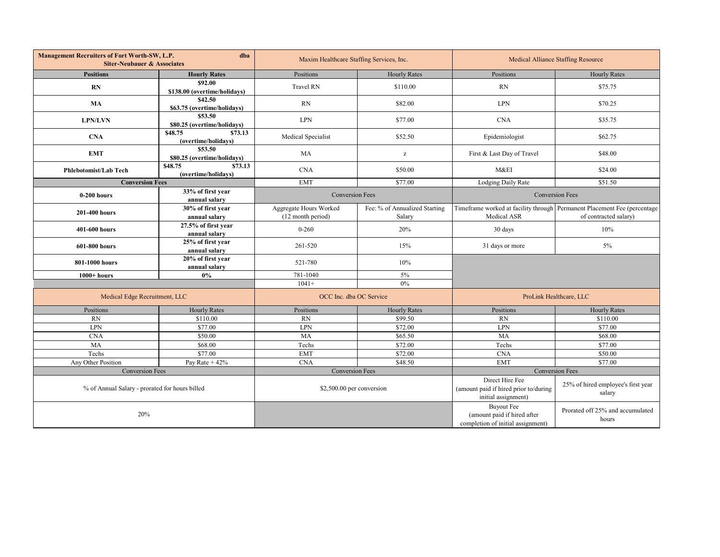| <b>Management Recruiters of Fort Worth-SW, L.P.</b><br>dba<br><b>Siter-Neubauer &amp; Associates</b> |                                           | Maxim Healthcare Staffing Services, Inc.    |                                                       | <b>Medical Alliance Staffing Resource</b>                                             |                                                                                                   |
|------------------------------------------------------------------------------------------------------|-------------------------------------------|---------------------------------------------|-------------------------------------------------------|---------------------------------------------------------------------------------------|---------------------------------------------------------------------------------------------------|
| <b>Positions</b>                                                                                     | <b>Hourly Rates</b>                       | Positions                                   | <b>Hourly Rates</b>                                   | Positions                                                                             | <b>Hourly Rates</b>                                                                               |
| RN                                                                                                   | \$92.00<br>\$138.00 (overtime/holidays)   | <b>Travel RN</b>                            | \$110.00                                              | RN                                                                                    | \$75.75                                                                                           |
| MA                                                                                                   | \$42.50<br>\$63.75 (overtime/holidays)    | RN                                          | \$82.00                                               | <b>LPN</b>                                                                            | \$70.25                                                                                           |
| <b>LPN/LVN</b>                                                                                       | \$53.50<br>\$80.25 (overtime/holidays)    | <b>LPN</b>                                  | \$77.00                                               | <b>CNA</b>                                                                            | \$35.75                                                                                           |
| <b>CNA</b>                                                                                           | \$48.75<br>\$73.13<br>(overtime/holidays) | Medical Specialist                          | \$52.50                                               | Epidemiologist                                                                        | \$62.75                                                                                           |
| <b>EMT</b>                                                                                           | \$53.50<br>\$80.25 (overtime/holidays)    | MA                                          | $\mathbf{Z}% ^{T}=\mathbf{Z}^{T}\times\mathbf{Z}^{T}$ | First & Last Day of Travel                                                            | \$48.00                                                                                           |
| <b>Phlebotomist/Lab Tech</b>                                                                         | \$73.13<br>\$48.75<br>(overtime/holidays) | <b>CNA</b>                                  | \$50.00                                               | M&EI                                                                                  | \$24.00                                                                                           |
| <b>Conversion Fees</b>                                                                               |                                           | <b>EMT</b>                                  | \$77.00                                               | Lodging Daily Rate                                                                    | \$51.50                                                                                           |
| $0-200$ hours                                                                                        | 33% of first year<br>annual salary        | <b>Conversion Fees</b>                      |                                                       | <b>Conversion Fees</b>                                                                |                                                                                                   |
| 201-400 hours                                                                                        | 30% of first year<br>annual salary        | Aggregate Hours Worked<br>(12 month period) | Fee: % of Annualized Starting<br>Salary               | Medical ASR                                                                           | Timeframe worked at facility through Permanent Placement Fee (percentage<br>of contracted salary) |
| 401-600 hours                                                                                        | 27.5% of first year<br>annual salary      | $0 - 260$                                   | 20%                                                   | 30 days                                                                               | 10%                                                                                               |
| 601-800 hours                                                                                        | 25% of first year<br>annual salary        | 261-520                                     | 15%                                                   | 31 days or more                                                                       | 5%                                                                                                |
| 801-1000 hours                                                                                       | 20% of first year<br>annual salary        | 521-780                                     | 10%                                                   |                                                                                       |                                                                                                   |
| $1000+$ hours                                                                                        | $0\%$                                     | 781-1040                                    | 5%                                                    |                                                                                       |                                                                                                   |
|                                                                                                      |                                           | $1041+$                                     | $0\%$                                                 |                                                                                       |                                                                                                   |
| Medical Edge Recruitment, LLC                                                                        |                                           | OCC Inc. dba OC Service                     |                                                       | ProLink Healthcare, LLC                                                               |                                                                                                   |
| Positions                                                                                            | <b>Hourly Rates</b>                       | Positions                                   | <b>Hourly Rates</b>                                   | Positions                                                                             | <b>Hourly Rates</b>                                                                               |
| RN                                                                                                   | \$110.00                                  | RN                                          | \$99.50                                               | RN                                                                                    | \$110.00                                                                                          |
| LPN                                                                                                  | \$77.00                                   | LPN                                         | \$72.00                                               | LPN                                                                                   | \$77.00                                                                                           |
| <b>CNA</b>                                                                                           | \$50.00                                   | MA                                          | \$65.50                                               | MA                                                                                    | \$68.00                                                                                           |
| MA                                                                                                   | \$68.00                                   | Techs                                       | \$72.00                                               | Techs                                                                                 | \$77.00                                                                                           |
| Techs                                                                                                | \$77.00                                   | EMT                                         | \$72.00                                               | <b>CNA</b>                                                                            | \$50.00                                                                                           |
| Any Other Position                                                                                   | Pay Rate $+42%$                           | <b>CNA</b>                                  | \$48.50                                               | <b>EMT</b>                                                                            | \$77.00                                                                                           |
| <b>Conversion Fees</b>                                                                               |                                           | <b>Conversion Fees</b>                      |                                                       | <b>Conversion Fees</b>                                                                |                                                                                                   |
| % of Annual Salary - prorated for hours billed                                                       |                                           | \$2,500.00 per conversion                   |                                                       | Direct Hire Fee<br>(amount paid if hired prior to/during<br>initial assignment)       | 25% of hired employee's first year<br>salary                                                      |
| 20%                                                                                                  |                                           |                                             |                                                       | <b>Buyout Fee</b><br>(amount paid if hired after<br>completion of initial assignment) | Prorated off 25% and accumulated<br>hours                                                         |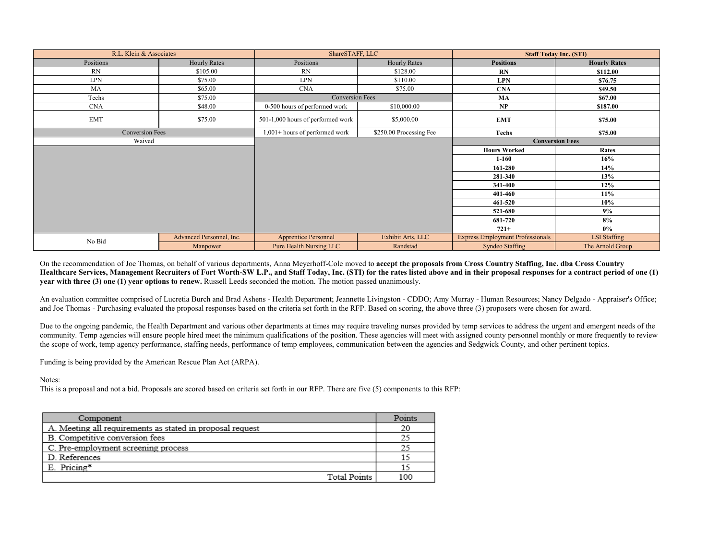| R.L. Klein & Associates |                          | ShareSTAFF, LLC                   |                         | <b>Staff Today Inc. (STI)</b>           |                     |
|-------------------------|--------------------------|-----------------------------------|-------------------------|-----------------------------------------|---------------------|
| Positions               | <b>Hourly Rates</b>      | Positions                         | <b>Hourly Rates</b>     | <b>Positions</b>                        | <b>Hourly Rates</b> |
| RN                      | \$105.00                 | <b>RN</b>                         | \$128.00                | <b>RN</b>                               | \$112.00            |
| <b>LPN</b>              | \$75.00                  | <b>LPN</b>                        | \$110.00                | <b>LPN</b>                              | \$76.75             |
| MA                      | \$65.00                  | <b>CNA</b>                        | \$75.00                 | <b>CNA</b>                              | \$49.50             |
| Techs                   | \$75.00                  | <b>Conversion Fees</b>            |                         | MA                                      | \$67.00             |
| <b>CNA</b>              | \$48.00                  | 0-500 hours of performed work     | \$10,000.00             | NP                                      | \$187.00            |
| EMT                     | \$75.00                  | 501-1,000 hours of performed work | \$5,000.00              | <b>EMT</b>                              | \$75.00             |
| <b>Conversion Fees</b>  |                          | 1,001+ hours of performed work    | \$250.00 Processing Fee | Techs<br>\$75.00                        |                     |
| Waived                  |                          |                                   |                         | <b>Conversion Fees</b>                  |                     |
|                         |                          |                                   |                         | <b>Hours Worked</b>                     | Rates               |
|                         |                          |                                   |                         | $1-160$                                 | 16%                 |
|                         |                          |                                   |                         | 161-280                                 | 14%                 |
|                         |                          |                                   |                         | 281-340                                 | 13%                 |
|                         |                          |                                   |                         | 341-400                                 | 12%                 |
|                         |                          |                                   |                         | 401-460                                 | $11\%$              |
|                         |                          |                                   |                         | 461-520                                 | $10\%$              |
|                         |                          |                                   |                         | 521-680                                 | 9%                  |
|                         |                          |                                   |                         | 681-720                                 | 8%                  |
|                         |                          |                                   |                         | $721+$                                  | $0\%$               |
| No Bid                  | Advanced Personnel, Inc. | <b>Apprentice Personnel</b>       | Exhibit Arts, LLC       | <b>Express Employment Professionals</b> | <b>LSI</b> Staffing |
|                         | Manpower                 | Pure Health Nursing LLC           | Randstad                | Syndeo Staffing                         | The Arnold Group    |

On the recommendation of Joe Thomas, on behalf of various departments, Anna Meyerhoff-Cole moved to **accept the proposals from Cross Country Staffing, Inc. dba Cross Country Healthcare Services, Management Recruiters of Fort Worth-SW L.P., and Staff Today, Inc. (STI) for the rates listed above and in their proposal responses for a contract period of one (1) year with three (3) one (1) year options to renew.** Russell Leeds seconded the motion. The motion passed unanimously.

An evaluation committee comprised of Lucretia Burch and Brad Ashens - Health Department; Jeannette Livingston - CDDO; Amy Murray - Human Resources; Nancy Delgado - Appraiser's Office; and Joe Thomas - Purchasing evaluated the proposal responses based on the criteria set forth in the RFP. Based on scoring, the above three (3) proposers were chosen for award.

Due to the ongoing pandemic, the Health Department and various other departments at times may require traveling nurses provided by temp services to address the urgent and emergent needs of the community. Temp agencies will ensure people hired meet the minimum qualifications of the position. These agencies will meet with assigned county personnel monthly or more frequently to review the scope of work, temp agency performance, staffing needs, performance of temp employees, communication between the agencies and Sedgwick County, and other pertinent topics.

Funding is being provided by the American Rescue Plan Act (ARPA).

Notes:

This is a proposal and not a bid. Proposals are scored based on criteria set forth in our RFP. There are five (5) components to this RFP:

| Component                                                 | Points |
|-----------------------------------------------------------|--------|
| A. Meeting all requirements as stated in proposal request | 20     |
| B. Competitive conversion fees                            | 25     |
| C. Pre-employment screening process                       | 25     |
| D. References                                             | 15     |
| E. Pricing*                                               |        |
| Total Points                                              | 100    |